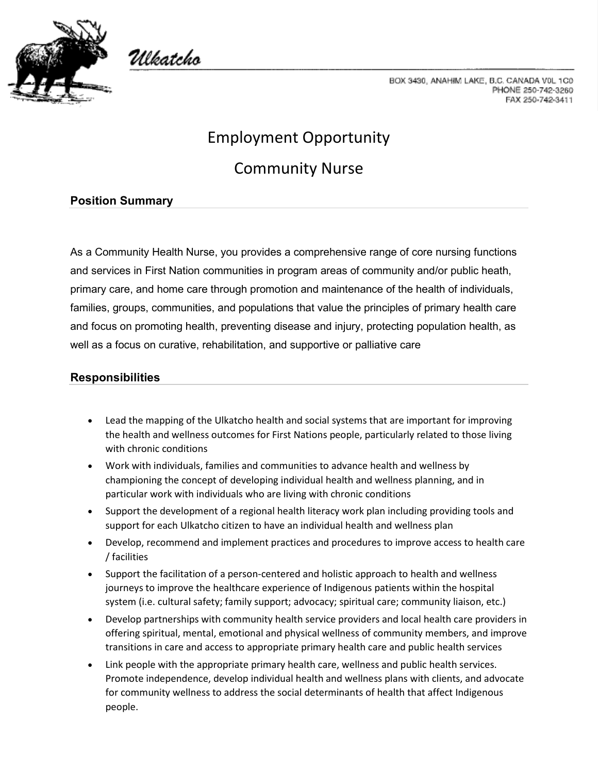

Włkatcho

BOX 3430, ANAHIM LAKE, B.C. CANADA V0L 1C0 PHONE 250-742-3260 FAX 250-742-3411

# Employment Opportunity

# Community Nurse

## **Position Summary**

As a Community Health Nurse, you provides a comprehensive range of core nursing functions and services in First Nation communities in program areas of community and/or public heath, primary care, and home care through promotion and maintenance of the health of individuals, families, groups, communities, and populations that value the principles of primary health care and focus on promoting health, preventing disease and injury, protecting population health, as well as a focus on curative, rehabilitation, and supportive or palliative care

### **Responsibilities**

- Lead the mapping of the Ulkatcho health and social systems that are important for improving the health and wellness outcomes for First Nations people, particularly related to those living with chronic conditions
- Work with individuals, families and communities to advance health and wellness by championing the concept of developing individual health and wellness planning, and in particular work with individuals who are living with chronic conditions
- Support the development of a regional health literacy work plan including providing tools and support for each Ulkatcho citizen to have an individual health and wellness plan
- Develop, recommend and implement practices and procedures to improve access to health care / facilities
- Support the facilitation of a person-centered and holistic approach to health and wellness journeys to improve the healthcare experience of Indigenous patients within the hospital system (i.e. cultural safety; family support; advocacy; spiritual care; community liaison, etc.)
- Develop partnerships with community health service providers and local health care providers in offering spiritual, mental, emotional and physical wellness of community members, and improve transitions in care and access to appropriate primary health care and public health services
- Link people with the appropriate primary health care, wellness and public health services. Promote independence, develop individual health and wellness plans with clients, and advocate for community wellness to address the social determinants of health that affect Indigenous people.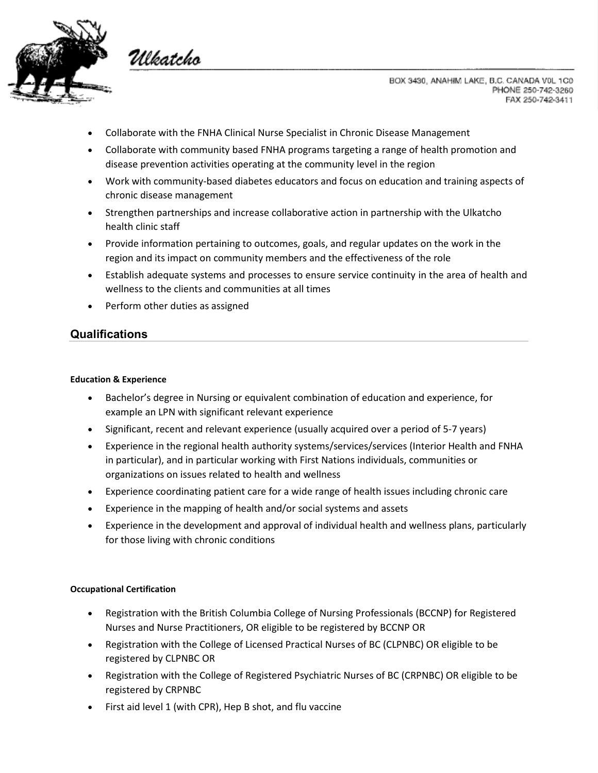

Wkatcho

BOX 3430, ANAHIM LAKE, B.C. CANADA V0L 1C0 PHONE 250-742-3260 FAX 250-742-3411

- Collaborate with the FNHA Clinical Nurse Specialist in Chronic Disease Management
- Collaborate with community based FNHA programs targeting a range of health promotion and disease prevention activities operating at the community level in the region
- Work with community-based diabetes educators and focus on education and training aspects of chronic disease management
- Strengthen partnerships and increase collaborative action in partnership with the Ulkatcho health clinic staff
- Provide information pertaining to outcomes, goals, and regular updates on the work in the region and its impact on community members and the effectiveness of the role
- Establish adequate systems and processes to ensure service continuity in the area of health and wellness to the clients and communities at all times
- Perform other duties as assigned

### **Qualifications**

#### **Education & Experience**

- Bachelor's degree in Nursing or equivalent combination of education and experience, for example an LPN with significant relevant experience
- Significant, recent and relevant experience (usually acquired over a period of 5-7 years)
- Experience in the regional health authority systems/services/services (Interior Health and FNHA in particular), and in particular working with First Nations individuals, communities or organizations on issues related to health and wellness
- Experience coordinating patient care for a wide range of health issues including chronic care
- Experience in the mapping of health and/or social systems and assets
- Experience in the development and approval of individual health and wellness plans, particularly for those living with chronic conditions

#### **Occupational Certification**

- Registration with the British Columbia College of Nursing Professionals (BCCNP) for Registered Nurses and Nurse Practitioners, OR eligible to be registered by BCCNP OR
- Registration with the College of Licensed Practical Nurses of BC (CLPNBC) OR eligible to be registered by CLPNBC OR
- Registration with the College of Registered Psychiatric Nurses of BC (CRPNBC) OR eligible to be registered by CRPNBC
- First aid level 1 (with CPR), Hep B shot, and flu vaccine